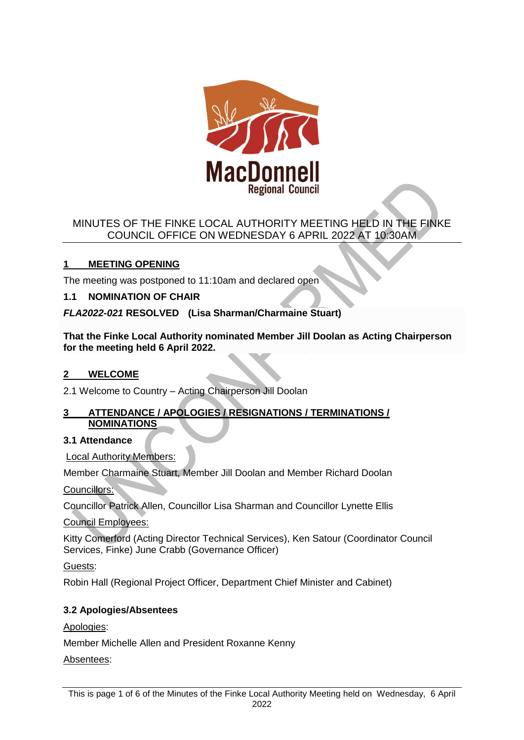

# MINUTES OF THE FINKE LOCAL AUTHORITY MEETING HELD IN THE FINKE COUNCIL OFFICE ON WEDNESDAY 6 APRIL 2022 AT 10:30AM

# **1 MEETING OPENING**

The meeting was postponed to 11:10am and declared open

# **1.1 NOMINATION OF CHAIR**

*FLA2022-021* **RESOLVED (Lisa Sharman/Charmaine Stuart)**

**That the Finke Local Authority nominated Member Jill Doolan as Acting Chairperson for the meeting held 6 April 2022.**

# **2 WELCOME**

2.1 Welcome to Country – Acting Chairperson Jill Doolan

## **3 ATTENDANCE / APOLOGIES / RESIGNATIONS / TERMINATIONS / NOMINATIONS**

## **3.1 Attendance**

Local Authority Members:

Member Charmaine Stuart, Member Jill Doolan and Member Richard Doolan

Councillors:

Councillor Patrick Allen, Councillor Lisa Sharman and Councillor Lynette Ellis

Council Employees:

Kitty Comerford (Acting Director Technical Services), Ken Satour (Coordinator Council Services, Finke) June Crabb (Governance Officer)

Guests:

Robin Hall (Regional Project Officer, Department Chief Minister and Cabinet)

# **3.2 Apologies/Absentees**

Apologies:

Member Michelle Allen and President Roxanne Kenny

Absentees: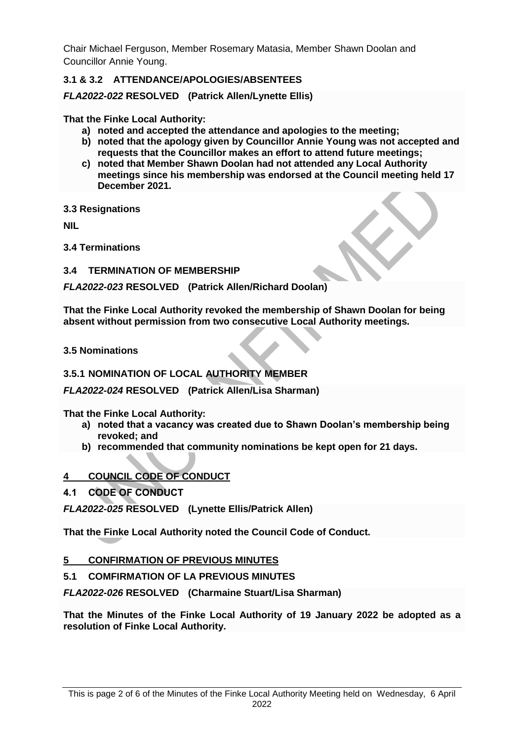Chair Michael Ferguson, Member Rosemary Matasia, Member Shawn Doolan and Councillor Annie Young.

# **3.1 & 3.2 ATTENDANCE/APOLOGIES/ABSENTEES**

*FLA2022-022* **RESOLVED (Patrick Allen/Lynette Ellis)**

**That the Finke Local Authority:**

- **a) noted and accepted the attendance and apologies to the meeting;**
- **b) noted that the apology given by Councillor Annie Young was not accepted and requests that the Councillor makes an effort to attend future meetings;**
- **c) noted that Member Shawn Doolan had not attended any Local Authority meetings since his membership was endorsed at the Council meeting held 17 December 2021.**

**3.3 Resignations** 

**NIL** 

**3.4 Terminations**

**3.4 TERMINATION OF MEMBERSHIP**

*FLA2022-023* **RESOLVED (Patrick Allen/Richard Doolan)**

**That the Finke Local Authority revoked the membership of Shawn Doolan for being absent without permission from two consecutive Local Authority meetings.**

**3.5 Nominations**

## **3.5.1 NOMINATION OF LOCAL AUTHORITY MEMBER**

*FLA2022-024* **RESOLVED (Patrick Allen/Lisa Sharman)**

**That the Finke Local Authority:**

- **a) noted that a vacancy was created due to Shawn Doolan's membership being revoked; and**
- **b) recommended that community nominations be kept open for 21 days.**

## **4 COUNCIL CODE OF CONDUCT**

**4.1 CODE OF CONDUCT**

*FLA2022-025* **RESOLVED (Lynette Ellis/Patrick Allen)**

**That the Finke Local Authority noted the Council Code of Conduct.**

### **5 CONFIRMATION OF PREVIOUS MINUTES**

**5.1 COMFIRMATION OF LA PREVIOUS MINUTES**

*FLA2022-026* **RESOLVED (Charmaine Stuart/Lisa Sharman)**

**That the Minutes of the Finke Local Authority of 19 January 2022 be adopted as a resolution of Finke Local Authority.**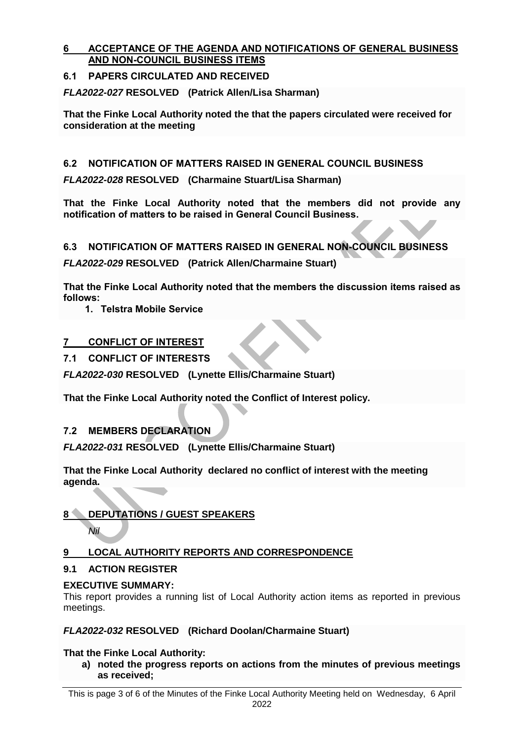## **6 ACCEPTANCE OF THE AGENDA AND NOTIFICATIONS OF GENERAL BUSINESS AND NON-COUNCIL BUSINESS ITEMS**

# **6.1 PAPERS CIRCULATED AND RECEIVED**

*FLA2022-027* **RESOLVED (Patrick Allen/Lisa Sharman)**

**That the Finke Local Authority noted the that the papers circulated were received for consideration at the meeting**

# **6.2 NOTIFICATION OF MATTERS RAISED IN GENERAL COUNCIL BUSINESS**

*FLA2022-028* **RESOLVED (Charmaine Stuart/Lisa Sharman)**

**That the Finke Local Authority noted that the members did not provide any notification of matters to be raised in General Council Business.**

# **6.3 NOTIFICATION OF MATTERS RAISED IN GENERAL NON-COUNCIL BUSINESS**

*FLA2022-029* **RESOLVED (Patrick Allen/Charmaine Stuart)**

**That the Finke Local Authority noted that the members the discussion items raised as follows:**

**1. Telstra Mobile Service**

# **7 CONFLICT OF INTEREST**

# **7.1 CONFLICT OF INTERESTS**

*FLA2022-030* **RESOLVED (Lynette Ellis/Charmaine Stuart)**

**That the Finke Local Authority noted the Conflict of Interest policy.**

# **7.2 MEMBERS DECLARATION**

*FLA2022-031* **RESOLVED (Lynette Ellis/Charmaine Stuart)**

**That the Finke Local Authority declared no conflict of interest with the meeting agenda.**

# **8 DEPUTATIONS / GUEST SPEAKERS**

*Nil* 

# **9 LOCAL AUTHORITY REPORTS AND CORRESPONDENCE**

# **9.1 ACTION REGISTER**

## **EXECUTIVE SUMMARY:**

This report provides a running list of Local Authority action items as reported in previous meetings.

## *FLA2022-032* **RESOLVED (Richard Doolan/Charmaine Stuart)**

## **That the Finke Local Authority:**

**a) noted the progress reports on actions from the minutes of previous meetings as received;**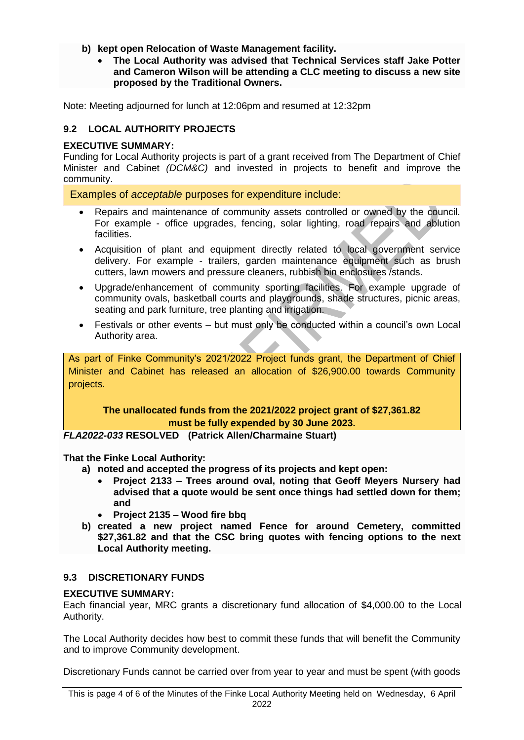- **b) kept open Relocation of Waste Management facility.**
	- **The Local Authority was advised that Technical Services staff Jake Potter and Cameron Wilson will be attending a CLC meeting to discuss a new site proposed by the Traditional Owners.**

Note: Meeting adjourned for lunch at 12:06pm and resumed at 12:32pm

# **9.2 LOCAL AUTHORITY PROJECTS**

## **EXECUTIVE SUMMARY:**

Funding for Local Authority projects is part of a grant received from The Department of Chief Minister and Cabinet *(DCM&C)* and invested in projects to benefit and improve the community.

Examples of *acceptable* purposes for expenditure include:

- Repairs and maintenance of community assets controlled or owned by the council. For example - office upgrades, fencing, solar lighting, road repairs and ablution facilities.
- Acquisition of plant and equipment directly related to local government service delivery. For example - trailers, garden maintenance equipment such as brush cutters, lawn mowers and pressure cleaners, rubbish bin enclosures /stands.
- Upgrade/enhancement of community sporting facilities. For example upgrade of community ovals, basketball courts and playgrounds, shade structures, picnic areas, seating and park furniture, tree planting and irrigation.
- Festivals or other events but must only be conducted within a council's own Local Authority area.

As part of Finke Community's 2021/2022 Project funds grant, the Department of Chief Minister and Cabinet has released an allocation of \$26,900.00 towards Community projects.

### **The unallocated funds from the 2021/2022 project grant of \$27,361.82 must be fully expended by 30 June 2023.**

*FLA2022-033* **RESOLVED (Patrick Allen/Charmaine Stuart)**

**That the Finke Local Authority:**

- **a) noted and accepted the progress of its projects and kept open:**
	- **Project 2133 – Trees around oval, noting that Geoff Meyers Nursery had advised that a quote would be sent once things had settled down for them; and**
	- **Project 2135 – Wood fire bbq**
- **b) created a new project named Fence for around Cemetery, committed \$27,361.82 and that the CSC bring quotes with fencing options to the next Local Authority meeting.**

## **9.3 DISCRETIONARY FUNDS**

### **EXECUTIVE SUMMARY:**

Each financial year, MRC grants a discretionary fund allocation of \$4,000.00 to the Local Authority.

The Local Authority decides how best to commit these funds that will benefit the Community and to improve Community development.

Discretionary Funds cannot be carried over from year to year and must be spent (with goods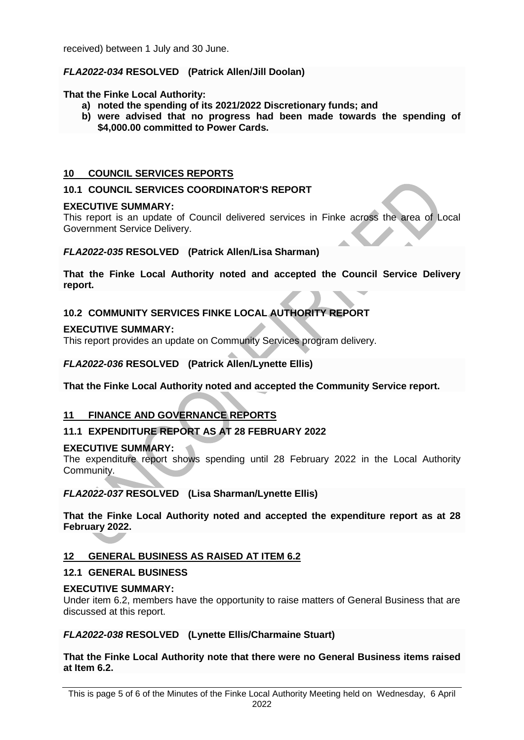received) between 1 July and 30 June.

## *FLA2022-034* **RESOLVED (Patrick Allen/Jill Doolan)**

### **That the Finke Local Authority:**

- **a) noted the spending of its 2021/2022 Discretionary funds; and**
- **b) were advised that no progress had been made towards the spending of \$4,000.00 committed to Power Cards.**

### **10 COUNCIL SERVICES REPORTS**

### **10.1 COUNCIL SERVICES COORDINATOR'S REPORT**

#### **EXECUTIVE SUMMARY:**

This report is an update of Council delivered services in Finke across the area of Local Government Service Delivery.

#### *FLA2022-035* **RESOLVED (Patrick Allen/Lisa Sharman)**

**That the Finke Local Authority noted and accepted the Council Service Delivery report.**

### **10.2 COMMUNITY SERVICES FINKE LOCAL AUTHORITY REPORT**

#### **EXECUTIVE SUMMARY:**

This report provides an update on Community Services program delivery.

### *FLA2022-036* **RESOLVED (Patrick Allen/Lynette Ellis)**

**That the Finke Local Authority noted and accepted the Community Service report.**

### **11 FINANCE AND GOVERNANCE REPORTS**

### **11.1 EXPENDITURE REPORT AS AT 28 FEBRUARY 2022**

### **EXECUTIVE SUMMARY:**

The expenditure report shows spending until 28 February 2022 in the Local Authority Community.

*FLA2022-037* **RESOLVED (Lisa Sharman/Lynette Ellis)**

**That the Finke Local Authority noted and accepted the expenditure report as at 28 February 2022.**

### **12 GENERAL BUSINESS AS RAISED AT ITEM 6.2**

#### **12.1 GENERAL BUSINESS**

#### **EXECUTIVE SUMMARY:**

Under item 6.2, members have the opportunity to raise matters of General Business that are discussed at this report.

#### *FLA2022-038* **RESOLVED (Lynette Ellis/Charmaine Stuart)**

**That the Finke Local Authority note that there were no General Business items raised at Item 6.2.**